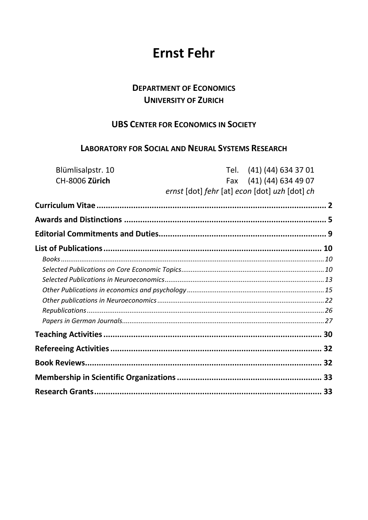# **Ernst Fehr**

# **DEPARTMENT OF ECONOMICS UNIVERSITY OF ZURICH**

# **UBS CENTER FOR ECONOMICS IN SOCIETY**

### **LABORATORY FOR SOCIAL AND NEURAL SYSTEMS RESEARCH**

| Blümlisalpstr. 10                             | Tel. (41) (44) 634 37 01 |
|-----------------------------------------------|--------------------------|
| CH-8006 Zürich                                | Fax (41) (44) 634 49 07  |
| ernst [dot] fehr [at] econ [dot] uzh [dot] ch |                          |
|                                               |                          |
|                                               |                          |
|                                               |                          |
|                                               |                          |
|                                               |                          |
|                                               |                          |
|                                               |                          |
|                                               |                          |
|                                               |                          |
|                                               |                          |
|                                               |                          |
|                                               |                          |
|                                               |                          |
|                                               |                          |
|                                               |                          |
|                                               |                          |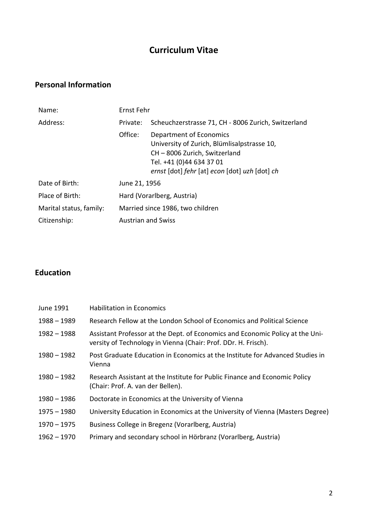# **Curriculum Vitae**

# <span id="page-1-0"></span>**Personal Information**

| Name:                   | Ernst Fehr                |                                                                                                                                                                                    |
|-------------------------|---------------------------|------------------------------------------------------------------------------------------------------------------------------------------------------------------------------------|
| Address:                | Private:                  | Scheuchzerstrasse 71, CH - 8006 Zurich, Switzerland                                                                                                                                |
|                         | Office:                   | Department of Economics<br>University of Zurich, Blümlisalpstrasse 10,<br>CH-8006 Zurich, Switzerland<br>Tel. +41 (0)44 634 37 01<br>ernst [dot] fehr [at] econ [dot] uzh [dot] ch |
| Date of Birth:          | June 21, 1956             |                                                                                                                                                                                    |
| Place of Birth:         |                           | Hard (Vorarlberg, Austria)                                                                                                                                                         |
| Marital status, family: |                           | Married since 1986, two children                                                                                                                                                   |
| Citizenship:            | <b>Austrian and Swiss</b> |                                                                                                                                                                                    |

# **Education**

| June 1991     | <b>Habilitation in Economics</b>                                                                                                                |
|---------------|-------------------------------------------------------------------------------------------------------------------------------------------------|
| $1988 - 1989$ | Research Fellow at the London School of Economics and Political Science                                                                         |
| $1982 - 1988$ | Assistant Professor at the Dept. of Economics and Economic Policy at the Uni-<br>versity of Technology in Vienna (Chair: Prof. DDr. H. Frisch). |
| $1980 - 1982$ | Post Graduate Education in Economics at the Institute for Advanced Studies in<br>Vienna                                                         |
| $1980 - 1982$ | Research Assistant at the Institute for Public Finance and Economic Policy<br>(Chair: Prof. A. van der Bellen).                                 |
| $1980 - 1986$ | Doctorate in Economics at the University of Vienna                                                                                              |
| $1975 - 1980$ | University Education in Economics at the University of Vienna (Masters Degree)                                                                  |
| $1970 - 1975$ | Business College in Bregenz (Vorarlberg, Austria)                                                                                               |
| $1962 - 1970$ | Primary and secondary school in Hörbranz (Vorarlberg, Austria)                                                                                  |
|               |                                                                                                                                                 |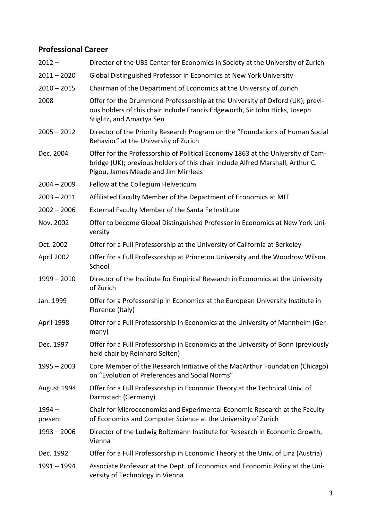# **Professional Career**

| $2012 -$            | Director of the UBS Center for Economics in Society at the University of Zurich                                                                                                                          |
|---------------------|----------------------------------------------------------------------------------------------------------------------------------------------------------------------------------------------------------|
| $2011 - 2020$       | Global Distinguished Professor in Economics at New York University                                                                                                                                       |
| $2010 - 2015$       | Chairman of the Department of Economics at the University of Zurich                                                                                                                                      |
| 2008                | Offer for the Drummond Professorship at the University of Oxford (UK); previ-<br>ous holders of this chair include Francis Edgeworth, Sir John Hicks, Joseph<br>Stiglitz, and Amartya Sen                |
| $2005 - 2012$       | Director of the Priority Research Program on the "Foundations of Human Social<br>Behavior" at the University of Zurich                                                                                   |
| Dec. 2004           | Offer for the Professorship of Political Economy 1863 at the University of Cam-<br>bridge (UK); previous holders of this chair include Alfred Marshall, Arthur C.<br>Pigou, James Meade and Jim Mirrlees |
| $2004 - 2009$       | Fellow at the Collegium Helveticum                                                                                                                                                                       |
| $2003 - 2011$       | Affiliated Faculty Member of the Department of Economics at MIT                                                                                                                                          |
| $2002 - 2006$       | External Faculty Member of the Santa Fe Institute                                                                                                                                                        |
| Nov. 2002           | Offer to become Global Distinguished Professor in Economics at New York Uni-<br>versity                                                                                                                  |
| Oct. 2002           | Offer for a Full Professorship at the University of California at Berkeley                                                                                                                               |
| April 2002          | Offer for a Full Professorship at Princeton University and the Woodrow Wilson<br>School                                                                                                                  |
| $1999 - 2010$       | Director of the Institute for Empirical Research in Economics at the University<br>of Zurich                                                                                                             |
| Jan. 1999           | Offer for a Professorship in Economics at the European University Institute in<br>Florence (Italy)                                                                                                       |
| April 1998          | Offer for a Full Professorship in Economics at the University of Mannheim (Ger-<br>many)                                                                                                                 |
| Dec. 1997           | Offer for a Full Professorship in Economics at the University of Bonn (previously<br>held chair by Reinhard Selten)                                                                                      |
| $1995 - 2003$       | Core Member of the Research Initiative of the MacArthur Foundation (Chicago)<br>on "Evolution of Preferences and Social Norms"                                                                           |
| August 1994         | Offer for a Full Professorship in Economic Theory at the Technical Univ. of<br>Darmstadt (Germany)                                                                                                       |
| $1994 -$<br>present | Chair for Microeconomics and Experimental Economic Research at the Faculty<br>of Economics and Computer Science at the University of Zurich                                                              |
| $1993 - 2006$       | Director of the Ludwig Boltzmann Institute for Research in Economic Growth,<br>Vienna                                                                                                                    |
| Dec. 1992           | Offer for a Full Professorship in Economic Theory at the Univ. of Linz (Austria)                                                                                                                         |
| 1991 - 1994         | Associate Professor at the Dept. of Economics and Economic Policy at the Uni-<br>versity of Technology in Vienna                                                                                         |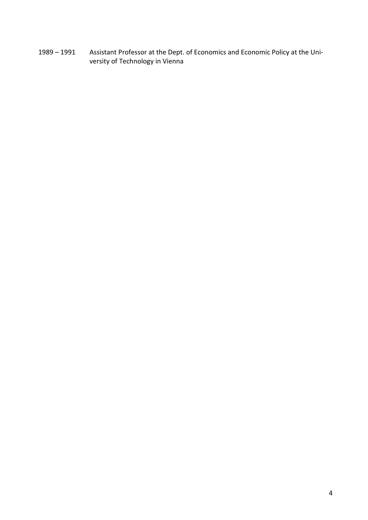1989 – 1991 Assistant Professor at the Dept. of Economics and Economic Policy at the University of Technology in Vienna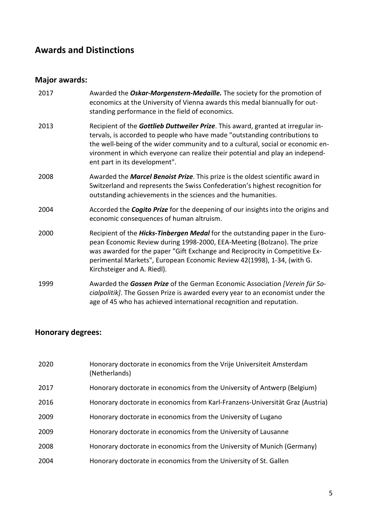# <span id="page-4-0"></span>**Awards and Distinctions**

# **Major awards:**

| 2017 | Awarded the Oskar-Morgenstern-Medaille. The society for the promotion of<br>economics at the University of Vienna awards this medal biannually for out-<br>standing performance in the field of economics.                                                                                                                                                          |
|------|---------------------------------------------------------------------------------------------------------------------------------------------------------------------------------------------------------------------------------------------------------------------------------------------------------------------------------------------------------------------|
| 2013 | Recipient of the Gottlieb Duttweiler Prize. This award, granted at irregular in-<br>tervals, is accorded to people who have made "outstanding contributions to<br>the well-being of the wider community and to a cultural, social or economic en-<br>vironment in which everyone can realize their potential and play an independ-<br>ent part in its development". |
| 2008 | Awarded the Marcel Benoist Prize. This prize is the oldest scientific award in<br>Switzerland and represents the Swiss Confederation's highest recognition for<br>outstanding achievements in the sciences and the humanities.                                                                                                                                      |
| 2004 | Accorded the <b>Cogito Prize</b> for the deepening of our insights into the origins and<br>economic consequences of human altruism.                                                                                                                                                                                                                                 |
| 2000 | Recipient of the Hicks-Tinbergen Medal for the outstanding paper in the Euro-<br>pean Economic Review during 1998-2000, EEA-Meeting (Bolzano). The prize<br>was awarded for the paper "Gift Exchange and Reciprocity in Competitive Ex-<br>perimental Markets", European Economic Review 42(1998), 1-34, (with G.<br>Kirchsteiger and A. Riedl).                    |
| 1999 | Awarded the Gossen Prize of the German Economic Association [Verein für So-<br>cialpolitik]. The Gossen Prize is awarded every year to an economist under the<br>age of 45 who has achieved international recognition and reputation.                                                                                                                               |

# **Honorary degrees:**

| 2020 | Honorary doctorate in economics from the Vrije Universiteit Amsterdam<br>(Netherlands) |
|------|----------------------------------------------------------------------------------------|
| 2017 | Honorary doctorate in economics from the University of Antwerp (Belgium)               |
| 2016 | Honorary doctorate in economics from Karl-Franzens-Universität Graz (Austria)          |
| 2009 | Honorary doctorate in economics from the University of Lugano                          |
| 2009 | Honorary doctorate in economics from the University of Lausanne                        |
| 2008 | Honorary doctorate in economics from the University of Munich (Germany)                |
| 2004 | Honorary doctorate in economics from the University of St. Gallen                      |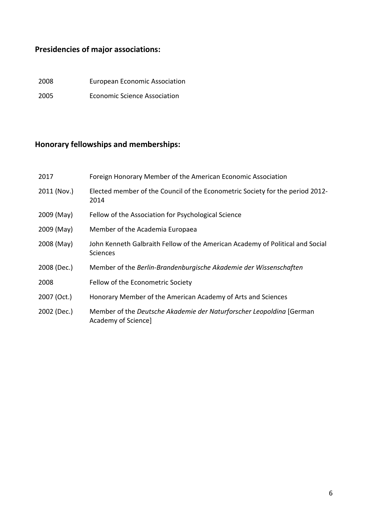# **Presidencies of major associations:**

2008 European Economic Association 2005 Economic Science Association

# **Honorary fellowships and memberships:**

| 2017        | Foreign Honorary Member of the American Economic Association                                     |
|-------------|--------------------------------------------------------------------------------------------------|
| 2011 (Nov.) | Elected member of the Council of the Econometric Society for the period 2012-<br>2014            |
| 2009 (May)  | Fellow of the Association for Psychological Science                                              |
| 2009 (May)  | Member of the Academia Europaea                                                                  |
| 2008 (May)  | John Kenneth Galbraith Fellow of the American Academy of Political and Social<br><b>Sciences</b> |
| 2008 (Dec.) | Member of the Berlin-Brandenburgische Akademie der Wissenschaften                                |
| 2008        | Fellow of the Econometric Society                                                                |
| 2007 (Oct.) | Honorary Member of the American Academy of Arts and Sciences                                     |
| 2002 (Dec.) | Member of the Deutsche Akademie der Naturforscher Leopoldina [German]<br>Academy of Science]     |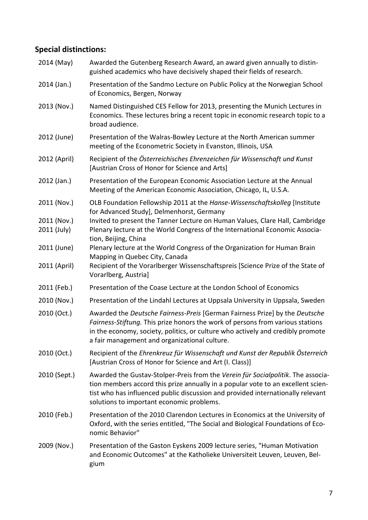#### **Special distinctions:**

- 2014 (May) Awarded the Gutenberg Research Award, an award given annually to distinguished academics who have decisively shaped their fields of research.
- 2014 (Jan.) Presentation of the Sandmo Lecture on Public Policy at the Norwegian School of Economics, Bergen, Norway
- 2013 (Nov.) Named Distinguished CES Fellow for 2013, presenting the Munich Lectures in Economics. These lectures bring a recent topic in economic research topic to a broad audience.
- 2012 (June) Presentation of the Walras-Bowley Lecture at the North American summer meeting of the Econometric Society in Evanston, Illinois, USA
- 2012 (April) Recipient of the *Österreichisches Ehrenzeichen für Wissenschaft und Kunst* [Austrian Cross of Honor for Science and Arts]
- 2012 (Jan.) Presentation of the European Economic Association Lecture at the Annual Meeting of the American Economic Association, Chicago, IL, U.S.A.
- 2011 (Nov.) OLB Foundation Fellowship 2011 at the *Hanse-Wissenschaftskolleg* [Institute for Advanced Study], Delmenhorst, Germany
- 2011 (Nov.) Invited to present the Tanner Lecture on Human Values, Clare Hall, Cambridge
- 2011 (July) Plenary lecture at the World Congress of the International Economic Association, Beijing, China
- 2011 (June) Plenary lecture at the World Congress of the Organization for Human Brain Mapping in Quebec City, Canada
- 2011 (April) Recipient of the Vorarlberger Wissenschaftspreis [Science Prize of the State of Vorarlberg, Austria]
- 2011 (Feb.) Presentation of the Coase Lecture at the London School of Economics
- 2010 (Nov.) Presentation of the Lindahl Lectures at Uppsala University in Uppsala, Sweden
- 2010 (Oct.) Awarded the *Deutsche Fairness-Preis* [German Fairness Prize] by the *Deutsche Fairness-Stiftung.* This prize honors the work of persons from various stations in the economy, society, politics, or culture who actively and credibly promote a fair management and organizational culture.
- 2010 (Oct.) Recipient of the *Ehrenkreuz für Wissenschaft und Kunst der Republik Österreich* [Austrian Cross of Honor for Science and Art (I. Class)]
- 2010 (Sept.) Awarded the Gustav-Stolper-Preis from the *Verein für Socialpolitik*. The association members accord this prize annually in a popular vote to an excellent scientist who has influenced public discussion and provided internationally relevant solutions to important economic problems.
- 2010 (Feb.) Presentation of the 2010 Clarendon Lectures in Economics at the University of Oxford, with the series entitled, "The Social and Biological Foundations of Economic Behavior"
- 2009 (Nov.) Presentation of the Gaston Eyskens 2009 lecture series, "Human Motivation and Economic Outcomes" at the Katholieke Universiteit Leuven, Leuven, Belgium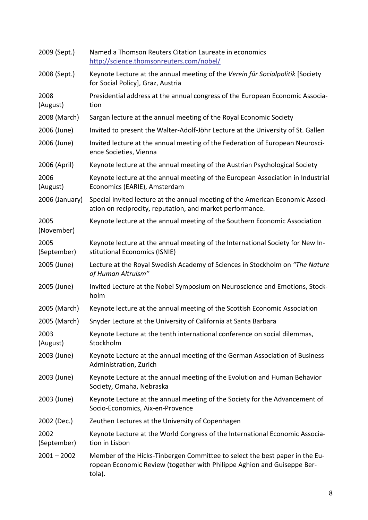| 2009 (Sept.)        | Named a Thomson Reuters Citation Laureate in economics<br>http://science.thomsonreuters.com/nobel/                                                               |
|---------------------|------------------------------------------------------------------------------------------------------------------------------------------------------------------|
| 2008 (Sept.)        | Keynote Lecture at the annual meeting of the Verein für Socialpolitik [Society<br>for Social Policy], Graz, Austria                                              |
| 2008<br>(August)    | Presidential address at the annual congress of the European Economic Associa-<br>tion                                                                            |
| 2008 (March)        | Sargan lecture at the annual meeting of the Royal Economic Society                                                                                               |
| 2006 (June)         | Invited to present the Walter-Adolf-Jöhr Lecture at the University of St. Gallen                                                                                 |
| 2006 (June)         | Invited lecture at the annual meeting of the Federation of European Neurosci-<br>ence Societies, Vienna                                                          |
| 2006 (April)        | Keynote lecture at the annual meeting of the Austrian Psychological Society                                                                                      |
| 2006<br>(August)    | Keynote lecture at the annual meeting of the European Association in Industrial<br>Economics (EARIE), Amsterdam                                                  |
| 2006 (January)      | Special invited lecture at the annual meeting of the American Economic Associ-<br>ation on reciprocity, reputation, and market performance.                      |
| 2005<br>(November)  | Keynote lecture at the annual meeting of the Southern Economic Association                                                                                       |
| 2005<br>(September) | Keynote lecture at the annual meeting of the International Society for New In-<br>stitutional Economics (ISNIE)                                                  |
| 2005 (June)         | Lecture at the Royal Swedish Academy of Sciences in Stockholm on "The Nature"<br>of Human Altruism"                                                              |
| 2005 (June)         | Invited Lecture at the Nobel Symposium on Neuroscience and Emotions, Stock-<br>holm                                                                              |
| 2005 (March)        | Keynote lecture at the annual meeting of the Scottish Economic Association                                                                                       |
| 2005 (March)        | Snyder Lecture at the University of California at Santa Barbara                                                                                                  |
| 2003<br>(August)    | Keynote Lecture at the tenth international conference on social dilemmas,<br>Stockholm                                                                           |
| 2003 (June)         | Keynote Lecture at the annual meeting of the German Association of Business<br>Administration, Zurich                                                            |
| 2003 (June)         | Keynote Lecture at the annual meeting of the Evolution and Human Behavior<br>Society, Omaha, Nebraska                                                            |
| 2003 (June)         | Keynote Lecture at the annual meeting of the Society for the Advancement of<br>Socio-Economics, Aix-en-Provence                                                  |
| 2002 (Dec.)         | Zeuthen Lectures at the University of Copenhagen                                                                                                                 |
| 2002<br>(September) | Keynote Lecture at the World Congress of the International Economic Associa-<br>tion in Lisbon                                                                   |
| $2001 - 2002$       | Member of the Hicks-Tinbergen Committee to select the best paper in the Eu-<br>ropean Economic Review (together with Philippe Aghion and Guiseppe Ber-<br>tola). |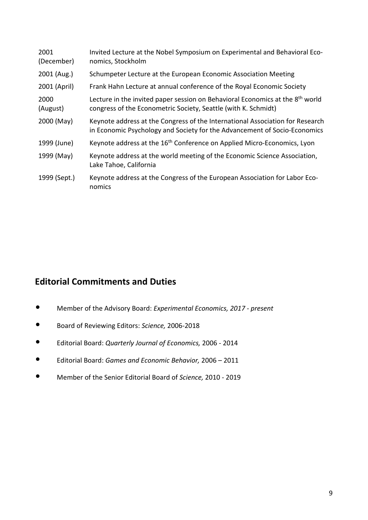| 2001<br>(December) | Invited Lecture at the Nobel Symposium on Experimental and Behavioral Eco-<br>nomics, Stockholm                                                             |
|--------------------|-------------------------------------------------------------------------------------------------------------------------------------------------------------|
| 2001 (Aug.)        | Schumpeter Lecture at the European Economic Association Meeting                                                                                             |
| 2001 (April)       | Frank Hahn Lecture at annual conference of the Royal Economic Society                                                                                       |
| 2000<br>(August)   | Lecture in the invited paper session on Behavioral Economics at the 8 <sup>th</sup> world<br>congress of the Econometric Society, Seattle (with K. Schmidt) |
| 2000 (May)         | Keynote address at the Congress of the International Association for Research<br>in Economic Psychology and Society for the Advancement of Socio-Economics  |
| 1999 (June)        | Keynote address at the 16 <sup>th</sup> Conference on Applied Micro-Economics, Lyon                                                                         |
| 1999 (May)         | Keynote address at the world meeting of the Economic Science Association,<br>Lake Tahoe, California                                                         |
| 1999 (Sept.)       | Keynote address at the Congress of the European Association for Labor Eco-<br>nomics                                                                        |

# <span id="page-8-0"></span>**Editorial Commitments and Duties**

- Member of the Advisory Board: *Experimental Economics, 2017 - present*
- Board of Reviewing Editors: *Science,* 2006-2018
- Editorial Board: *Quarterly Journal of Economics,* 2006 <sup>2014</sup>
- Editorial Board: *Games and Economic Behavior,* 2006 <sup>2011</sup>
- Member of the Senior Editorial Board of *Science,* 2010 <sup>2019</sup>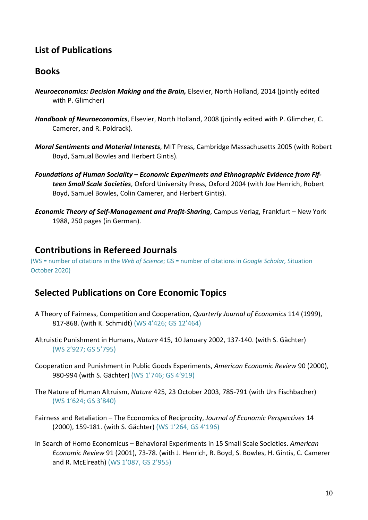# <span id="page-9-0"></span>**List of Publications**

### <span id="page-9-1"></span>**Books**

- *Neuroeconomics: Decision Making and the Brain,* Elsevier, North Holland, 2014 (jointly edited with P. Glimcher)
- *Handbook of Neuroeconomics*, Elsevier, North Holland, 2008 (jointly edited with P. Glimcher, C. Camerer, and R. Poldrack).
- *Moral Sentiments and Material Interests*, MIT Press, Cambridge Massachusetts 2005 (with Robert Boyd, Samual Bowles and Herbert Gintis).
- *Foundations of Human Sociality – Economic Experiments and Ethnographic Evidence from Fifteen Small Scale Societies*, Oxford University Press, Oxford 2004 (with Joe Henrich, Robert Boyd, Samuel Bowles, Colin Camerer, and Herbert Gintis).
- *Economic Theory of Self-Management and Profit-Sharing*, Campus Verlag, Frankfurt New York 1988, 250 pages (in German).

### **Contributions in Refereed Journals**

(WS = number of citations in the *Web of Science*; GS = number of citations in *Google Scholar,* Situation October 2020)

### <span id="page-9-2"></span>**Selected Publications on Core Economic Topics**

- A Theory of Fairness, Competition and Cooperation, *Quarterly Journal of Economics* 114 (1999), 817-868. (with K. Schmidt) (WS 4'426; GS 12'464)
- Altruistic Punishment in Humans, *Nature* 415, 10 January 2002, 137-140. (with S. Gächter) (WS 2'927; GS 5'795)
- Cooperation and Punishment in Public Goods Experiments, *American Economic Review* 90 (2000), 980-994 (with S. Gächter) (WS 1'746; GS 4'919)
- The Nature of Human Altruism, *Nature* 425, 23 October 2003, 785-791 (with Urs Fischbacher) (WS 1'624; GS 3'840)
- Fairness and Retaliation The Economics of Reciprocity, *Journal of Economic Perspectives* 14 (2000), 159-181. (with S. Gächter) (WS 1'264, GS 4'196)
- In Search of Homo Economicus Behavioral Experiments in 15 Small Scale Societies. *American Economic Review* 91 (2001), 73-78. (with J. Henrich, R. Boyd, S. Bowles, H. Gintis, C. Camerer and R. McElreath) (WS 1'087, GS 2'955)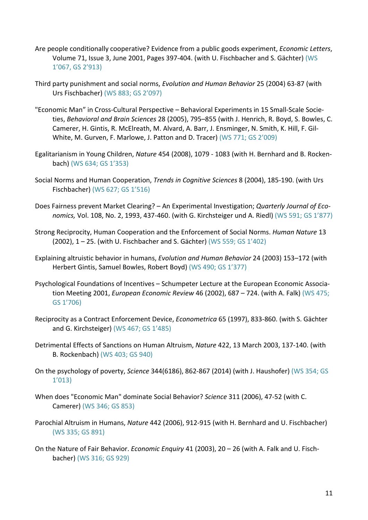- Are people conditionally cooperative? Evidence from a public goods experiment, *Economic Letters*, Volume 71, Issue 3, June 2001, Pages 397-404. (with U. Fischbacher and S. Gächter) (WS 1'067, GS 2'913)
- Third party punishment and social norms, *Evolution and Human Behavior* 25 (2004) 63-87 (with Urs Fischbacher) (WS 883; GS 2'097)
- "Economic Man" in Cross-Cultural Perspective Behavioral Experiments in 15 Small-Scale Societies, *Behavioral and Brain Sciences* 28 (2005), 795–855 (with J. Henrich, R. Boyd, S. Bowles, C. Camerer, H. Gintis, R. McElreath, M. Alvard, A. Barr, J. Ensminger, N. Smith, K. Hill, F. Gil-White, M. Gurven, F. Marlowe, J. Patton and D. Tracer) (WS 771; GS 2'009)
- Egalitarianism in Young Children, *Nature* 454 (2008), 1079 1083 (with H. Bernhard and B. Rockenbach) (WS 634; GS 1'353)
- Social Norms and Human Cooperation, *Trends in Cognitive Sciences* 8 (2004), 185-190. (with Urs Fischbacher) (WS 627; GS 1'516)
- Does Fairness prevent Market Clearing? An Experimental Investigation; *Quarterly Journal of Economics,* Vol. 108, No. 2, 1993, 437-460. (with G. Kirchsteiger und A. Riedl) (WS 591; GS 1'877)
- Strong Reciprocity, Human Cooperation and the Enforcement of Social Norms. *Human Nature* 13 (2002), 1 – 25. (with U. Fischbacher and S. Gächter) (WS 559; GS 1'402)
- [Explaining altruistic behavior in humans,](http://www.iew.unizh.ch/home/fehr/papers/ExplainingAltruisticBehaviorinHumans.pdf) *Evolution and Human Behavior* 24 (2003) 153–172 (with Herbert Gintis, Samuel Bowles, Robert Boyd) (WS 490; GS 1'377)
- Psychological Foundations of Incentives Schumpeter Lecture at the European Economic Association Meeting 2001, *European Economic Review* 46 (2002), 687 – 724. (with A. Falk) (WS 475; GS 1'706)
- Reciprocity as a Contract Enforcement Device, *Econometrica* 65 (1997), 833-860. (with S. Gächter and G. Kirchsteiger) (WS 467; GS 1'485)
- Detrimental Effects of Sanctions on Human Altruism, *Nature* 422, 13 March 2003, 137-140. (with B. Rockenbach) (WS 403; GS 940)
- On the psychology of poverty, *Science* 344(6186), 862-867 (2014) (with J. Haushofer) (WS 354; GS 1'013)
- When does "Economic Man" dominate Social Behavior? *Science* 311 (2006), 47-52 (with C. Camerer) (WS 346; GS 853)
- Parochial Altruism in Humans, *Nature* 442 (2006), 912-915 (with H. Bernhard and U. Fischbacher) (WS 335; GS 891)
- On the Nature of Fair Behavior. *Economic Enquiry* 41 (2003), 20 26 (with A. Falk and U. Fischbacher) (WS 316; GS 929)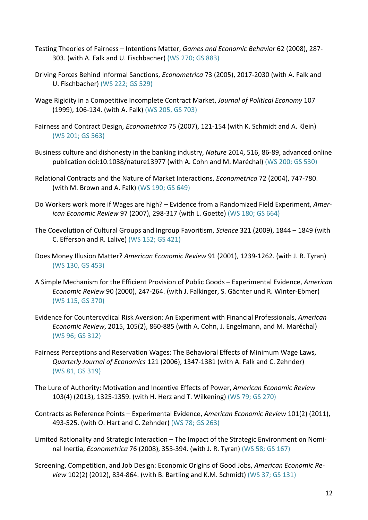- Testing Theories of Fairness Intentions Matter, *Games and Economic Behavior* 62 (2008), 287- 303. (with A. Falk and U. Fischbacher) (WS 270; GS 883)
- Driving Forces Behind Informal Sanctions, *Econometrica* 73 (2005), 2017-2030 (with A. Falk and U. Fischbacher) (WS 222; GS 529)
- Wage Rigidity in a Competitive Incomplete Contract Market, *Journal of Political Economy* 107 (1999), 106-134. (with A. Falk) (WS 205, GS 703)
- Fairness and Contract Design, *Econometrica* 75 (2007), 121-154 (with K. Schmidt and A. Klein) (WS 201; GS 563)
- Business culture and dishonesty in the banking industry, *Nature* 2014, 516, 86-89, advanced online publication doi:10.1038/nature13977 (with A. Cohn and M. Maréchal) (WS 200; GS 530)
- Relational Contracts and the Nature of Market Interactions, *Econometrica* 72 (2004), 747-780. (with M. Brown and A. Falk) (WS 190; GS 649)
- Do Workers work more if Wages are high? Evidence from a Randomized Field Experiment, *American Economic Review* 97 (2007), 298-317 (with L. Goette) (WS 180; GS 664)
- The Coevolution of Cultural Groups and Ingroup Favoritism, *Science* 321 (2009), 1844 1849 (with C. Efferson and R. Lalive) (WS 152; GS 421)
- Does Money Illusion Matter? *American Economic Review* 91 (2001), 1239-1262. (with J. R. Tyran) (WS 130, GS 453)
- A Simple Mechanism for the Efficient Provision of Public Goods Experimental Evidence, *American Economic Review* 90 (2000), 247-264. (with J. Falkinger, S. Gächter und R. Winter-Ebmer) (WS 115, GS 370)
- Evidence for Countercyclical Risk Aversion: An Experiment with Financial Professionals, *American Economic Review*, 2015, 105(2), 860-885 (with A. Cohn, J. Engelmann, and M. Maréchal) (WS 96; GS 312)
- Fairness Perceptions and Reservation Wages: The Behavioral Effects of Minimum Wage Laws, *Quarterly Journal of Economics* 121 (2006), 1347-1381 (with A. Falk and C. Zehnder) (WS 81, GS 319)
- The Lure of Authority: Motivation and Incentive Effects of Power, *American Economic Review* 103(4) (2013), 1325-1359. (with H. Herz and T. Wilkening) (WS 79; GS 270)
- Contracts as Reference Points Experimental Evidence, *American Economic Review* 101(2) (2011), 493-525. (with O. Hart and C. Zehnder) (WS 78; GS 263)
- Limited Rationality and Strategic Interaction The Impact of the Strategic Environment on Nominal Inertia, *Econometrica* 76 (2008), 353-394. (with J. R. Tyran) (WS 58; GS 167)
- Screening, Competition, and Job Design: Economic Origins of Good Jobs, *American Economic Review* 102(2) (2012), 834-864. (with B. Bartling and K.M. Schmidt) (WS 37; GS 131)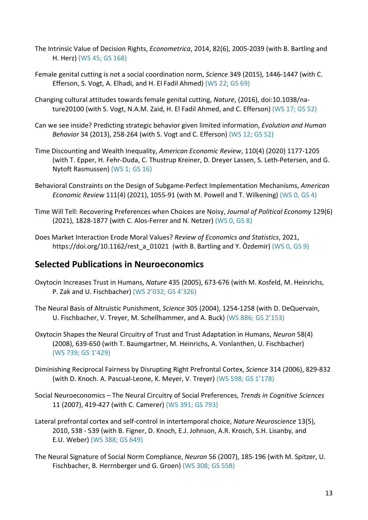- The Intrinsic Value of Decision Rights, *Econometrica*, 2014, 82(6), 2005-2039 (with B. Bartling and H. Herz) (WS 45; GS 168)
- Female genital cutting is not a social coordination norm, *Science* 349 (2015), 1446-1447 (with C. Efferson, S. Vogt, A. Elhadi, and H. El Fadil Ahmed) (WS 22; GS 69)
- Changing cultural attitudes towards female genital cutting, *Nature*, (2016), doi:10.1038/nature20100 (with S. Vogt, N.A.M. Zaid, H. El Fadil Ahmed, and C. Efferson) (WS 17; GS 52)
- Can we see inside? Predicting strategic behavior given limited information, *Evolution and Human Behavior* 34 (2013), 258-264 (with S. Vogt and C. Efferson) (WS 12; GS 52)
- Time Discounting and Wealth Inequality, *American Economic Review*, 110(4) (2020) 1177-1205 (with T. Epper, H. Fehr-Duda, C. Thustrup Kreiner, D. Dreyer Lassen, S. Leth-Petersen, and G. Nytoft Rasmussen) (WS 1; GS 16)
- <span id="page-12-0"></span>Behavioral Constraints on the Design of Subgame-Perfect Implementation Mechanisms, *American Economic Review* 111(4) (2021), 1055-91 (with M. Powell and T. Wilkening) (WS 0, GS 4)
- Time Will Tell: Recovering Preferences when Choices are Noisy, *Journal of Political Economy* 129(6) (2021), 1828-1877 (with C. Alos-Ferrer and N. Netzer) (WS 0, GS 8)
- Does Market Interaction Erode Moral Values? *Review of Economics and Statistics*, 2021, [https://doi.org/10.1162/rest\\_a\\_01021](https://doi.org/10.1162/rest_a_01021) (with B. Bartling and Y. Özdemir) (WS 0, GS 9)

### **Selected Publications in Neuroeconomics**

- Oxytocin Increases Trust in Humans, *Nature* 435 (2005), 673-676 (with M. Kosfeld, M. Heinrichs, P. Zak and U. Fischbacher) (WS 2'032; GS 4'326)
- The Neural Basis of Altruistic Punishment, *Science* 305 (2004), 1254-1258 (with D. DeQuervain, U. Fischbacher, V. Treyer, M. Schellhammer, and A. Buck) (WS 886; GS 2'153)
- Oxytocin Shapes the Neural Circuitry of Trust and Trust Adaptation in Humans, *Neuron* 58(4) (2008), 639-650 (with T. Baumgartner, M. Heinrichs, A. Vonlanthen, U. Fischbacher) (WS 739; GS 1'429)
- Diminishing Reciprocal Fairness by Disrupting Right Prefrontal Cortex, *Science* 314 (2006), 829-832 (with D. Knoch. A. Pascual-Leone, K. Meyer, V. Treyer) (WS 598; GS 1'178)
- Social Neuroeconomics The Neural Circuitry of Social Preferences, *Trends in Cognitive Sciences* 11 (2007), 419-427 (with C. Camerer) (WS 391; GS 793)
- Lateral prefrontal cortex and self-control in intertemporal choice, *Nature Neuroscience* 13(5), 2010, 538 - 539 (with B. Figner, D. Knoch, E.J. Johnson, A.R. Krosch, S.H. Lisanby, and E.U. Weber) (WS 388; GS 649)
- The Neural Signature of Social Norm Compliance, *Neuron* 56 (2007), 185-196 (with M. Spitzer, U. Fischbacher, B. Herrnberger und G. Groen) (WS 308; GS 558)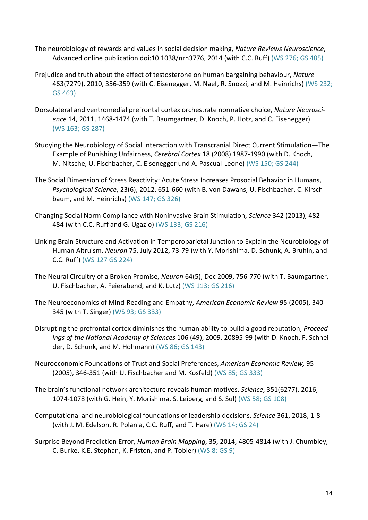- The neurobiology of rewards and values in social decision making, *Nature Reviews Neuroscience*, Advanced online publication doi:10.1038/nrn3776, 2014 (with C.C. Ruff) (WS 276; GS 485)
- Prejudice and truth about the effect of testosterone on human bargaining behaviour, *Nature* 463(7279), 2010, 356-359 (with C. Eisenegger, M. Naef, R. Snozzi, and M. Heinrichs) (WS 232; GS 463)
- Dorsolateral and ventromedial prefrontal cortex orchestrate normative choice, *Nature Neuroscience* 14, 2011, 1468-1474 (with T. Baumgartner, D. Knoch, P. Hotz, and C. Eisenegger) (WS 163; GS 287)
- Studying the Neurobiology of Social Interaction with Transcranial Direct Current Stimulation—The Example of Punishing Unfairness, *Cerebral Cortex* 18 (2008) 1987-1990 (with D. Knoch, M. Nitsche, U. Fischbacher, C. Eisenegger und A. Pascual-Leone) (WS 150; GS 244)
- The Social Dimension of Stress Reactivity: Acute Stress Increases Prosocial Behavior in Humans, *Psychological Science*, 23(6), 2012, 651-660 (with B. von Dawans, U. Fischbacher, C. Kirschbaum, and M. Heinrichs) (WS 147; GS 326)
- Changing Social Norm Compliance with Noninvasive Brain Stimulation, *Science* 342 (2013), 482- 484 (with C.C. Ruff and G. Ugazio) (WS 133; GS 216)
- Linking Brain Structure and Activation in Temporoparietal Junction to Explain the Neurobiology of Human Altruism, *Neuron* 75, July 2012, 73-79 (with Y. Morishima, D. Schunk, A. Bruhin, and C.C. Ruff) (WS 127 GS 224)
- The Neural Circuitry of a Broken Promise, *Neuron* 64(5), Dec 2009, 756-770 (with T. Baumgartner, U. Fischbacher, A. Feierabend, and K. Lutz) (WS 113; GS 216)
- The Neuroeconomics of Mind-Reading and Empathy, *American Economic Review* 95 (2005), 340- 345 (with T. Singer) (WS 93; GS 333)
- Disrupting the prefrontal cortex diminishes the human ability to build a good reputation, *Proceedings of the National Academy of Sciences* 106 (49), 2009, 20895-99 (with D. Knoch, F. Schneider, D. Schunk, and M. Hohmann) (WS 86; GS 143)
- Neuroeconomic Foundations of Trust and Social Preferences, *American Economic Review,* 95 (2005), 346-351 (with U. Fischbacher and M. Kosfeld) (WS 85; GS 333)
- The brain's functional network architecture reveals human motives, *Science*, 351(6277), 2016, 1074-1078 (with G. Hein, Y. Morishima, S. Leiberg, and S. Sul) (WS 58; GS 108)
- Computational and neurobiological foundations of leadership decisions, *Science* 361, 2018, 1-8 (with J. M. Edelson, R. Polania, C.C. Ruff, and T. Hare) (WS 14; GS 24)
- Surprise Beyond Prediction Error, *Human Brain Mapping*, 35, 2014, 4805-4814 (with J. Chumbley, C. Burke, K.E. Stephan, K. Friston, and P. Tobler) (WS 8; GS 9)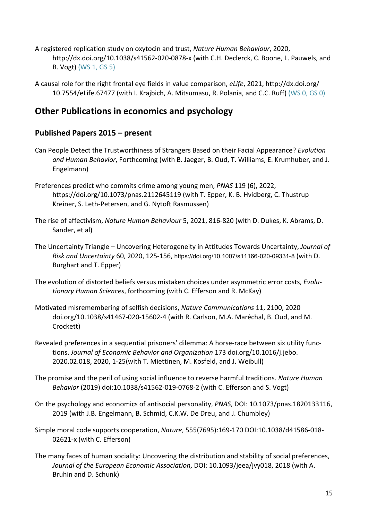- A registered replication study on oxytocin and trust, *Nature Human Behaviour*, 2020, http://dx.doi.org/10.1038/s41562-020-0878-x (with C.H. Declerck, C. Boone, L. Pauwels, and B. Vogt) (WS 1, GS 5)
- A causal role for the right frontal eye fields in value comparison, *eLife*, 2021, http://dx.doi.org/ [10.7554/eLife.67477](https://doi.org/10.7554/eLife.67477) (with I. Krajbich, A. Mitsumasu, R. Polania, and C.C. Ruff) (WS 0, GS 0)

# <span id="page-14-0"></span>**Other Publications in economics and psychology**

#### **Published Papers 2015 – present**

- Can People Detect the Trustworthiness of Strangers Based on their Facial Appearance? *Evolution and Human Behavior*, Forthcoming (with B. Jaeger, B. Oud, T. Williams, E. Krumhuber, and J. Engelmann)
- Preferences predict who commits crime among young men, *PNAS* 119 (6), 2022, https://doi.org/10.1073/pnas.2112645119 (with T. Epper, K. B. Hvidberg, C. Thustrup Kreiner, S. Leth-Petersen, and G. Nytoft Rasmussen)
- The rise of affectivism, *Nature Human Behaviour* 5, 2021, 816-820 (with D. Dukes, K. Abrams, D. Sander, et al)
- The Uncertainty Triangle Uncovering Heterogeneity in Attitudes Towards Uncertainty, *Journal of Risk and Uncertainty* 60, 2020, 125-156, https://doi.org/10.1007/s11166-020-09331-8 (with D. Burghart and T. Epper)
- The evolution of distorted beliefs versus mistaken choices under asymmetric error costs, *Evolutionary Human Sciences*, forthcoming (with C. Efferson and R. McKay)
- Motivated misremembering of selfish decisions, *Nature Communications* 11, 2100, 2020 doi.org/10.1038/s41467-020-15602-4 (with R. Carlson, M.A. Maréchal, B. Oud, and M. Crockett)
- Revealed preferences in a sequential prisoners' dilemma: A horse-race between six utility functions. *Journal of Economic Behavior and Organization* 173 doi.org/10.1016/j.jebo. 2020.02.018, 2020, 1-25(with T. Miettinen, M. Kosfeld, and J. Weibull)
- The promise and the peril of using social influence to reverse harmful traditions. *Nature Human Behavior* (2019) doi:10.1038/s41562-019-0768-2 (with C. Efferson and S. Vogt)
- On the psychology and economics of antisocial personality, *PNAS*, DOI: 10.1073/pnas.1820133116, 2019 (with J.B. Engelmann, B. Schmid, C.K.W. De Dreu, and J. Chumbley)
- Simple moral code supports cooperation, *Nature*, 555(7695):169-170 DOI:10.1038/d41586-018- 02621-x (with C. Efferson)
- The many faces of human sociality: Uncovering the distribution and stability of social preferences, *Journal of the European Economic Association*, DOI: 10.1093/jeea/jvy018, 2018 (with A. Bruhin and D. Schunk)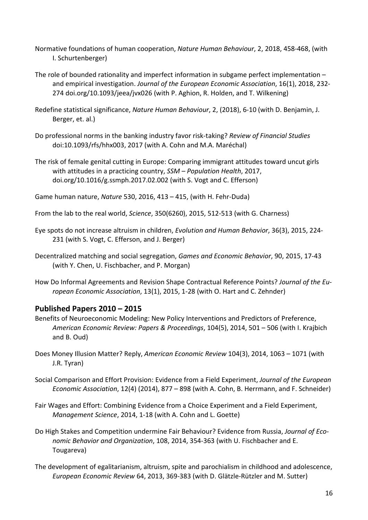- Normative foundations of human cooperation, *Nature Human Behaviour*, 2, 2018, 458-468, (with I. Schurtenberger)
- The role of bounded rationality and imperfect information in subgame perfect implementation and empirical investigation. *Journal of the European Economic Association*, 16(1), 2018, 232- 274 [doi.org/10.1093/jeea/jvx026](https://doi.org/10.1093/jeea/jvx026) (with P. Aghion, R. Holden, and T. Wilkening)
- Redefine statistical significance, *Nature Human Behaviour*, 2, (2018), 6-10 (with D. Benjamin, J. Berger, et. al.)
- Do professional norms in the banking industry favor risk-taking? *Review of Financial Studies*  doi:10.1093/rfs/hhx003, 2017 (with A. Cohn and M.A. Maréchal)
- The risk of female genital cutting in Europe: Comparing immigrant attitudes toward uncut girls with attitudes in a practicing country, *SSM – Population Health*, 2017, doi.org/10.1016/g.ssmph.2017.02.002 (with S. Vogt and C. Efferson)
- Game human nature, *Nature* 530, 2016, 413 415, (with H. Fehr-Duda)
- From the lab to the real world, *Science*, 350(6260), 2015, 512-513 (with G. Charness)
- Eye spots do not increase altruism in children, *Evolution and Human Behavior*, 36(3), 2015, 224- 231 (with S. Vogt, C. Efferson, and J. Berger)
- Decentralized matching and social segregation, *Games and Economic Behavior*, 90, 2015, 17-43 (with Y. Chen, U. Fischbacher, and P. Morgan)
- How Do Informal Agreements and Revision Shape Contractual Reference Points? *Journal of the European Economic Association*, 13(1), 2015, 1-28 (with O. Hart and C. Zehnder)

#### **Published Papers 2010 – 2015**

- Benefits of Neuroeconomic Modeling: New Policy Interventions and Predictors of Preference, *American Economic Review: Papers & Proceedings*, 104(5), 2014, 501 – 506 (with I. Krajbich and B. Oud)
- Does Money Illusion Matter? Reply, *American Economic Review* 104(3), 2014, 1063 1071 (with J.R. Tyran)
- Social Comparison and Effort Provision: Evidence from a Field Experiment, *Journal of the European Economic Association*, 12(4) (2014), 877 – 898 (with A. Cohn, B. Herrmann, and F. Schneider)
- Fair Wages and Effort: Combining Evidence from a Choice Experiment and a Field Experiment, *Management Science*, 2014, 1-18 (with A. Cohn and L. Goette)
- Do High Stakes and Competition undermine Fair Behaviour? Evidence from Russia, *Journal of Economic Behavior and Organization*, 108, 2014, 354-363 (with U. Fischbacher and E. Tougareva)
- The development of egalitarianism, altruism, spite and parochialism in childhood and adolescence, *European Economic Review* 64, 2013, 369-383 (with D. Glätzle-Rützler and M. Sutter)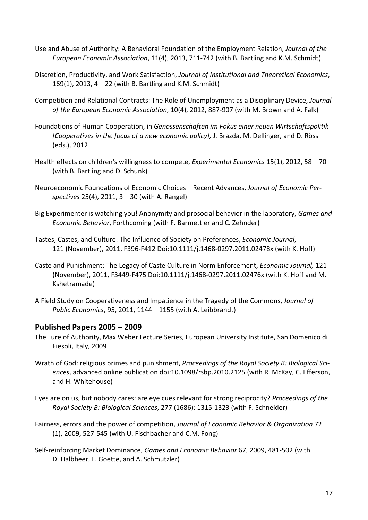- Use and Abuse of Authority: A Behavioral Foundation of the Employment Relation, *Journal of the European Economic Association*, 11(4), 2013, 711-742 (with B. Bartling and K.M. Schmidt)
- Discretion, Productivity, and Work Satisfaction, *Journal of Institutional and Theoretical Economics*, 169(1), 2013, 4 – 22 (with B. Bartling and K.M. Schmidt)
- Competition and Relational Contracts: The Role of Unemployment as a Disciplinary Device, *Journal of the European Economic Association*, 10(4), 2012, 887-907 (with M. Brown and A. Falk)
- Foundations of Human Cooperation, in *Genossenschaften im Fokus einer neuen Wirtschaftspolitik [Cooperatives in the focus of a new economic policy],* J. Brazda, M. Dellinger, and D. Rössl (eds.), 2012
- Health effects on children's willingness to compete, *Experimental Economics* 15(1), 2012, 58 70 (with B. Bartling and D. Schunk)
- Neuroeconomic Foundations of Economic Choices Recent Advances, *Journal of Economic Perspectives* 25(4), 2011, 3 – 30 (with A. Rangel)
- Big Experimenter is watching you! Anonymity and prosocial behavior in the laboratory, *Games and Economic Behavior*, Forthcoming (with F. Barmettler and C. Zehnder)
- Tastes, Castes, and Culture: The Influence of Society on Preferences, *Economic Journal*, 121 (November), 2011, F396-F412 Doi:10.1111/j.1468-0297.2011.02478x (with K. Hoff)
- Caste and Punishment: The Legacy of Caste Culture in Norm Enforcement, *Economic Journal,* 121 (November), 2011, F3449-F475 Doi:10.1111/j.1468-0297.2011.02476x (with K. Hoff and M. Kshetramade)
- A Field Study on Cooperativeness and Impatience in the Tragedy of the Commons, *Journal of Public Economics*, 95, 2011, 1144 – 1155 (with A. Leibbrandt)

#### **Published Papers 2005 – 2009**

- The Lure of Authority, Max Weber Lecture Series, European University Institute, San Domenico di Fiesoli, Italy, 2009
- Wrath of God: religious primes and punishment, *Proceedings of the Royal Society B: Biological Sciences*, advanced online publication doi:10.1098/rsbp.2010.2125 (with R. McKay, C. Efferson, and H. Whitehouse)
- Eyes are on us, but nobody cares: are eye cues relevant for strong reciprocity? *Proceedings of the Royal Society B: Biological Sciences*, 277 (1686): 1315-1323 (with F. Schneider)
- [Fairness, errors and the power of competition,](http://apps.isiknowledge.com/full_record.do?product=WOS&search_mode=GeneralSearch&qid=1&SID=P2KaM4J59BLP7cgFLff&page=1&doc=1) *Journal of Economic Behavior & Organization* 72 (1), 2009, 527-545 (with U. Fischbacher and C.M. Fong)
- Self-reinforcing Market Dominance, *Games and Economic Behavior* 67, 2009, 481-502 (with D. Halbheer, L. Goette, and A. Schmutzler)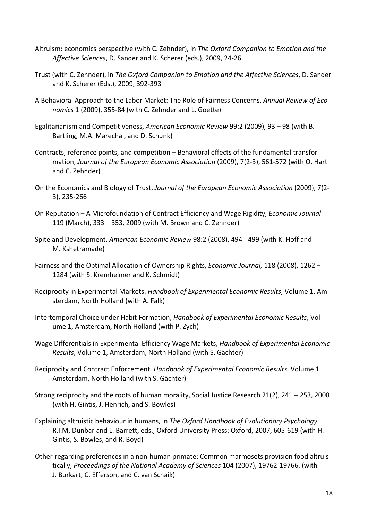- Altruism: economics perspective (with C. Zehnder), in *The Oxford Companion to Emotion and the Affective Sciences*, D. Sander and K. Scherer (eds.), 2009, 24-26
- Trust (with C. Zehnder), in *The Oxford Companion to Emotion and the Affective Sciences*, D. Sander and K. Scherer (Eds.), 2009, 392-393
- A Behavioral Approach to the Labor Market: The Role of Fairness Concerns, *Annual Review of Economics* 1 (2009), 355-84 (with C. Zehnder and L. Goette)
- Egalitarianism and Competitiveness, *American Economic Review* 99:2 (2009), 93 98 (with B. Bartling, M.A. Maréchal, and D. Schunk)
- Contracts, reference points, and competition Behavioral effects of the fundamental transformation, *Journal of the European Economic Association* (2009), 7(2-3), 561-572 (with O. Hart and C. Zehnder)
- On the Economics and Biology of Trust, *Journal of the European Economic Association* (2009), 7(2- 3), 235-266
- On Reputation A Microfoundation of Contract Efficiency and Wage Rigidity, *Economic Journal* 119 (March), 333 – 353, 2009 (with M. Brown and C. Zehnder)
- Spite and Development, *American Economic Review* 98:2 (2008), 494 499 (with K. Hoff and M. Kshetramade)
- Fairness and the Optimal Allocation of Ownership Rights, *Economic Journal,* 118 (2008), 1262 1284 (with S. Kremhelmer and K. Schmidt)
- Reciprocity in Experimental Markets. *Handbook of Experimental Economic Results*, Volume 1, Amsterdam, North Holland (with A. Falk)
- Intertemporal Choice under Habit Formation, *Handbook of Experimental Economic Results*, Volume 1, Amsterdam, North Holland (with P. Zych)
- Wage Differentials in Experimental Efficiency Wage Markets, *Handbook of Experimental Economic Results*, Volume 1, Amsterdam, North Holland (with S. Gächter)
- Reciprocity and Contract Enforcement. *Handbook of Experimental Economic Results*, Volume 1, Amsterdam, North Holland (with S. Gächter)
- Strong reciprocity and the roots of human morality, Social Justice Research 21(2), 241 253, 2008 (with H. Gintis, J. Henrich, and S. Bowles)
- Explaining altruistic behaviour in humans, in *The Oxford Handbook of Evolutionary Psychology*, R.I.M. Dunbar and L. Barrett, eds., Oxford University Press: Oxford, 2007, 605-619 (with H. Gintis, S. Bowles, and R. Boyd)
- Other-regarding preferences in a non-human primate: Common marmosets provision food altruistically, *Proceedings of the National Academy of Sciences* 104 (2007), 19762-19766. (with J. Burkart, C. Efferson, and C. van Schaik)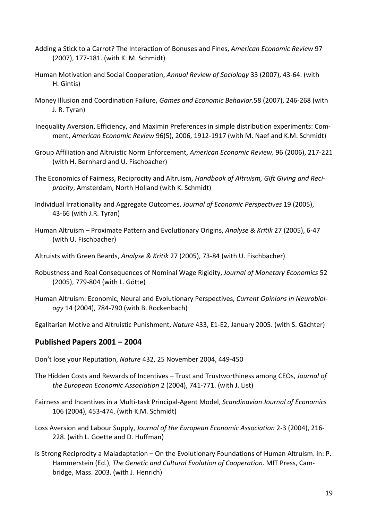- Adding a Stick to a Carrot? The Interaction of Bonuses and Fines, *American Economic Review* 97 (2007), 177-181. (with K. M. Schmidt)
- Human Motivation and Social Cooperation, *Annual Review of Sociology* 33 (2007), 43-64. (with H. Gintis)
- Money Illusion and Coordination Failure, *Games and Economic Behavior.*58 (2007), 246-268 (with J. R. Tyran)
- [Inequality Aversion, Efficiency, and Maximin Preferences in simple distribution experiments: Com](http://www.iew.uzh.ch/institute/people/fehr/publications/IneqAverEfficMaximinAER.pdf)[ment,](http://www.iew.uzh.ch/institute/people/fehr/publications/IneqAverEfficMaximinAER.pdf) *American Economic Review* 96(5), 2006, 1912-1917 (with M. Naef and K.M. Schmidt)
- Group Affiliation and Altruistic Norm Enforcement, *American Economic Review,* 96 (2006), 217-221 (with H. Bernhard and U. Fischbacher)
- The Economics of Fairness, Reciprocity and Altruism, *Handbook of Altruism, Gift Giving and Reciprocity*, Amsterdam, North Holland (with K. Schmidt)
- Individual Irrationality and Aggregate Outcomes, *Journal of Economic Perspectives* 19 (2005), 43-66 (with J.R. Tyran)
- Human Altruism Proximate Pattern and Evolutionary Origins, *Analyse & Kritik* 27 (2005), 6-47 (with U. Fischbacher)
- Altruists with Green Beards, *Analyse & Kritik* 27 (2005), 73-84 (with U. Fischbacher)
- Robustness and Real Consequences of Nominal Wage Rigidity, *Journal of Monetary Economics* 52 (2005), 779-804 (with L. Götte)
- Human Altruism: Economic, Neural and Evolutionary Perspectives, *Current Opinions in Neurobiology* 14 (2004), 784-790 (with B. Rockenbach)

Egalitarian Motive and Altruistic Punishment, *Nature* 433, E1-E2, January 2005. (with S. Gächter)

#### **Published Papers 2001 – 2004**

Don't lose your Reputation, *Nature* 432, 25 November 2004, 449-450

- The Hidden Costs and Rewards of Incentives Trust and Trustworthiness among CEOs, *Journal of the European Economic Association* 2 (2004), 741-771. (with J. List)
- Fairness and Incentives in a Multi-task Principal-Agent Model, *Scandinavian Journal of Economics* 106 (2004), 453-474. (with K.M. Schmidt)
- Loss Aversion and Labour Supply, *Journal of the European Economic Association* 2-3 (2004), 216- 228. (with L. Goette and D. Huffman)
- Is Strong Reciprocity a Maladaptation On the Evolutionary Foundations of Human Altruism. in: P. Hammerstein (Ed.), *The Genetic and Cultural Evolution of Cooperation*. MIT Press, Cambridge, Mass. 2003. (with J. Henrich)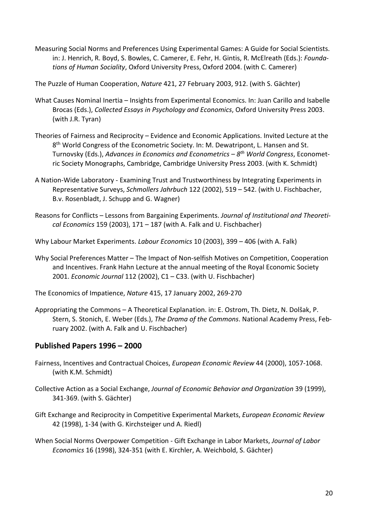Measuring Social Norms and Preferences Using Experimental Games: A Guide for Social Scientists. in: J. Henrich, R. Boyd, S. Bowles, C. Camerer, E. Fehr, H. Gintis, R. McElreath (Eds.): *Foundations of Human Sociality*, Oxford University Press, Oxford 2004. (with C. Camerer)

The Puzzle of Human Cooperation, *Nature* 421, 27 February 2003, 912. (with S. Gächter)

- What Causes Nominal Inertia Insights from Experimental Economics. In: Juan Carillo and Isabelle Brocas (Eds.), *Collected Essays in Psychology and Economics*, Oxford University Press 2003. (with J.R. Tyran)
- Theories of Fairness and Reciprocity Evidence and Economic Applications. Invited Lecture at the 8<sup>th</sup> World Congress of the Econometric Society. In: M. Dewatripont, L. Hansen and St. Turnovsky (Eds.), *Advances in Economics and Econometrics – 8th World Congress*, Econometric Society Monographs, Cambridge, Cambridge University Press 2003. (with K. Schmidt)
- A Nation-Wide Laboratory [Examining Trust and Trustworthiness by Integrating Experiments in](http://www.iew.unizh.ch/wp/iewwp141.pdf)  [Representative Surveys,](http://www.iew.unizh.ch/wp/iewwp141.pdf) *Schmollers Jahrbuch* 122 (2002), 519 – 542. (with U. Fischbacher, B.v. Rosenbladt, J. Schupp and G. Wagner)
- Reasons for Conflicts Lessons from Bargaining Experiments. *Journal of Institutional and Theoretical Economics* 159 (2003), 171 – 187 (with A. Falk and U. Fischbacher)
- Why Labour Market Experiments. *Labour Economics* 10 (2003), 399 406 (with A. Falk)
- Why Social Preferences Matter The Impact of Non-selfish Motives on Competition, Cooperation and Incentives. Frank Hahn Lecture at the annual meeting of the Royal Economic Society 2001. *Economic Journal* 112 (2002), C1 – C33. (with U. Fischbacher)
- The Economics of Impatience, *Nature* 415, 17 January 2002, 269-270
- Appropriating the Commons A Theoretical Explanation. in: E. Ostrom, Th. Dietz, N. Dolšak, P. Stern, S. Stonich, E. Weber (Eds.), *The Drama of the Commons*. National Academy Press, February 2002. (with A. Falk and U. Fischbacher)

#### **Published Papers 1996 – 2000**

- Fairness, Incentives and Contractual Choices, *European Economic Review* 44 (2000), 1057-1068. (with K.M. Schmidt)
- Collective Action as a Social Exchange, *Journal of Economic Behavior and Organization* 39 (1999), 341-369. (with S. Gächter)
- Gift Exchange and Reciprocity in Competitive Experimental Markets, *European Economic Review* 42 (1998), 1-34 (with G. Kirchsteiger und A. Riedl)
- When Social Norms Overpower Competition Gift Exchange in Labor Markets, *Journal of Labor Economics* 16 (1998), 324-351 (with E. Kirchler, A. Weichbold, S. Gächter)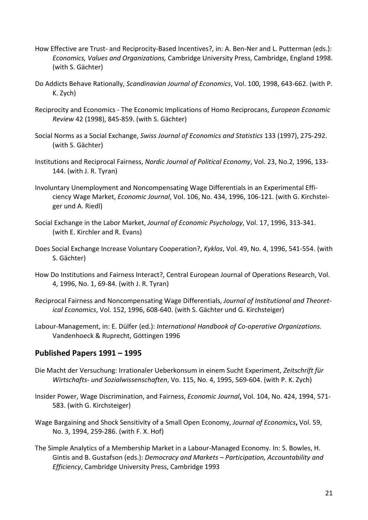- How Effective are Trust- and Reciprocity-Based Incentives?, in: A. Ben-Ner and L. Putterman (eds.): *Economics, Values and Organizations,* Cambridge University Press, Cambridge, England 1998. (with S. Gächter)
- Do Addicts Behave Rationally, *Scandinavian Journal of Economics*, Vol. 100, 1998, 643-662. (with P. K. Zych)
- Reciprocity and Economics The Economic Implications of Homo Reciprocans, *European Economic Review* 42 (1998), 845-859. (with S. Gächter)
- Social Norms as a Social Exchange, *Swiss Journal of Economics and Statistics* 133 (1997), 275-292. (with S. Gächter)
- Institutions and Reciprocal Fairness, *Nordic Journal of Political Economy*, Vol. 23, No.2, 1996, 133- 144. (with J. R. Tyran)
- Involuntary Unemployment and Noncompensating Wage Differentials in an Experimental Efficiency Wage Market, *Economic Journal*, Vol. 106, No. 434, 1996, 106-121. (with G. Kirchsteiger und A. Riedl)
- Social Exchange in the Labor Market, *Journal of Economic Psychology*, Vol. 17, 1996, 313-341. (with E. Kirchler and R. Evans)
- Does Social Exchange Increase Voluntary Cooperation?, *Kyklos*, Vol. 49, No. 4, 1996, 541-554. (with S. Gächter)
- How Do Institutions and Fairness Interact?, Central European Journal of Operations Research, Vol. 4, 1996, No. 1, 69-84. (with J. R. Tyran)
- Reciprocal Fairness and Noncompensating Wage Differentials, *Journal of Institutional and Theoretical Economics*, Vol. 152, 1996, 608-640. (with S. Gächter und G. Kirchsteiger)
- Labour-Management, in: E. Dülfer (ed.): *International Handbook of Co-operative Organizations.* Vandenhoeck & Ruprecht, Göttingen 1996

#### **Published Papers 1991 – 1995**

- Die Macht der Versuchung: Irrationaler Ueberkonsum in einem Sucht Experiment, *Zeitschrift für Wirtschafts- und Sozialwissenschaften*, Vo. 115, No. 4, 1995, 569-604. (with P. K. Zych)
- Insider Power, Wage Discrimination, and Fairness, *Economic Journal***,** Vol. 104, No. 424, 1994, 571- 583. (with G. Kirchsteiger)
- Wage Bargaining and Shock Sensitivity of a Small Open Economy, *Journal of Economics***,** Vol. 59, No. 3, 1994, 259-286. (with F. X. Hof)
- The Simple Analytics of a Membership Market in a Labour-Managed Economy. In: S. Bowles, H. Gintis and B. Gustafson (eds.): *Democracy and Markets – Participation, Accountability and Efficiency*, Cambridge University Press, Cambridge 1993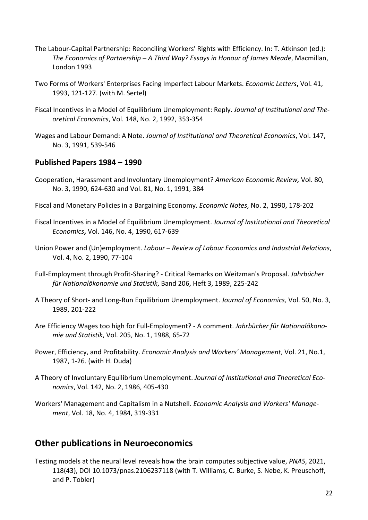- The Labour-Capital Partnership: Reconciling Workers' Rights with Efficiency. In: T. Atkinson (ed.): *The Economics of Partnership – A Third Way? Essays in Honour of James Meade*, Macmillan, London 1993
- Two Forms of Workers' Enterprises Facing Imperfect Labour Markets. *Economic Letters***,** Vol. 41, 1993, 121-127. (with M. Sertel)
- Fiscal Incentives in a Model of Equilibrium Unemployment: Reply. *Journal of Institutional and Theoretical Economics*, Vol. 148, No. 2, 1992, 353-354
- Wages and Labour Demand: A Note. *Journal of Institutional and Theoretical Economics*, Vol. 147, No. 3, 1991, 539-546

#### **Published Papers 1984 – 1990**

- Cooperation, Harassment and Involuntary Unemployment? *American Economic Review,* Vol. 80, No. 3, 1990, 624-630 and Vol. 81, No. 1, 1991, 384
- Fiscal and Monetary Policies in a Bargaining Economy. *Economic Notes*, No. 2, 1990, 178-202
- Fiscal Incentives in a Model of Equilibrium Unemployment. *Journal of Institutional and Theoretical Economics***,** Vol. 146, No. 4, 1990, 617-639
- Union Power and (Un)employment. *Labour – Review of Labour Economics and Industrial Relations*, Vol. 4, No. 2, 1990, 77-104
- Full-Employment through Profit-Sharing? Critical Remarks on Weitzman's Proposal. *Jahrbücher für Nationalökonomie und Statistik*, Band 206, Heft 3, 1989, 225-242
- A Theory of Short- and Long-Run Equilibrium Unemployment. *Journal of Economics,* Vol. 50, No. 3, 1989, 201-222
- Are Efficiency Wages too high for Full-Employment? A comment. *Jahrbücher für Nationalökonomie und Statistik*, Vol. 205, No. 1, 1988, 65-72
- Power, Efficiency, and Profitability. *Economic Analysis and Workers' Management*, Vol. 21, No.1, 1987, 1-26. (with H. Duda)
- A Theory of Involuntary Equilibrium Unemployment. *Journal of Institutional and Theoretical Economics*, Vol. 142, No. 2, 1986, 405-430
- Workers' Management and Capitalism in a Nutshell. *Economic Analysis and Workers' Management*, Vol. 18, No. 4, 1984, 319-331

# <span id="page-21-0"></span>**Other publications in Neuroeconomics**

Testing models at the neural level reveals how the brain computes subjective value, *PNAS*, 2021, 118(43), DOI 10.1073/pnas.2106237118 (with T. Williams, C. Burke, S. Nebe, K. Preuschoff, and P. Tobler)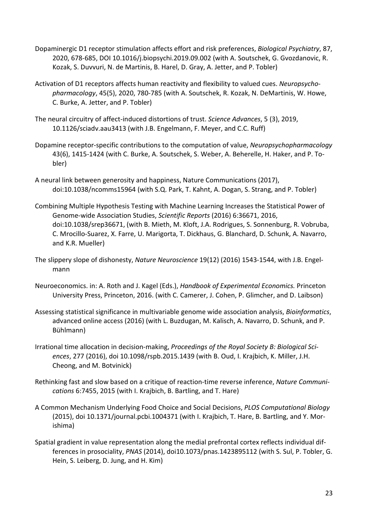- Dopaminergic D1 receptor stimulation affects effort and risk preferences, *Biological Psychiatry*, 87, 2020, 678-685, DOI 10.1016/j.biopsychi.2019.09.002 (with A. Soutschek, G. Gvozdanovic, R. Kozak, S. Duvvuri, N. de Martinis, B. Harel, D. Gray, A. Jetter, and P. Tobler)
- Activation of D1 receptors affects human reactivity and flexibility to valued cues. *Neuropsychopharmacology*, 45(5), 2020, 780-785 (with A. Soutschek, R. Kozak, N. DeMartinis, W. Howe, C. Burke, A. Jetter, and P. Tobler)
- The neural circuitry of affect-induced distortions of trust. *Science Advances*, 5 (3), 2019, 10.1126/sciadv.aau3413 (with J.B. Engelmann, F. Meyer, and C.C. Ruff)
- Dopamine receptor-specific contributions to the computation of value, *Neuropsychopharmacology* 43(6), 1415-1424 (with C. Burke, A. Soutschek, S. Weber, A. Beherelle, H. Haker, and P. Tobler)
- A neural link between generosity and happiness, Nature Communications (2017), doi:10.1038/ncomms15964 (with S.Q. Park, T. Kahnt, A. Dogan, S. Strang, and P. Tobler)
- Combining Multiple Hypothesis Testing with Machine Learning Increases the Statistical Power of Genome-wide Association Studies, *Scientific Reports* (2016) 6:36671, 2016, doi:10.1038/srep36671, (with B. Mieth, M. Kloft, J.A. Rodrigues, S. Sonnenburg, R. Vobruba, C. Mrocillo-Suarez, X. Farre, U. Marigorta, T. Dickhaus, G. Blanchard, D. Schunk, A. Navarro, and K.R. Mueller)
- The slippery slope of dishonesty, *Nature Neuroscience* 19(12) (2016) 1543-1544, with J.B. Engelmann
- Neuroeconomics. in: A. Roth and J. Kagel (Eds.), *Handbook of Experimental Economics.* Princeton University Press, Princeton, 2016. (with C. Camerer, J. Cohen, P. Glimcher, and D. Laibson)
- Assessing statistical significance in multivariable genome wide association analysis, *Bioinformatics*, advanced online access (2016) (with L. Buzdugan, M. Kalisch, A. Navarro, D. Schunk, and P. Bühlmann)
- Irrational time allocation in decision-making, *Proceedings of the Royal Society B: Biological Sciences*, 277 (2016), doi 10.1098/rspb.2015.1439 (with B. Oud, I. Krajbich, K. Miller, J.H. Cheong, and M. Botvinick)
- Rethinking fast and slow based on a critique of reaction-time reverse inference, *Nature Communications* 6:7455, 2015 (with I. Krajbich, B. Bartling, and T. Hare)
- A Common Mechanism Underlying Food Choice and Social Decisions, *PLOS Computational Biology*  (2015), doi 10.1371/journal.pcbi.1004371 (with I. Krajbich, T. Hare, B. Bartling, and Y. Morishima)
- Spatial gradient in value representation along the medial prefrontal cortex reflects individual differences in prosociality, *PNAS* (2014), doi10.1073/pnas.1423895112 (with S. Sul, P. Tobler, G. Hein, S. Leiberg, D. Jung, and H. Kim)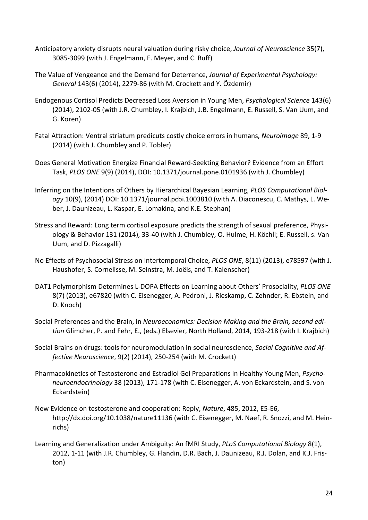- Anticipatory anxiety disrupts neural valuation during risky choice, *Journal of Neuroscience* 35(7), 3085-3099 (with J. Engelmann, F. Meyer, and C. Ruff)
- The Value of Vengeance and the Demand for Deterrence, *Journal of Experimental Psychology: General* 143(6) (2014), 2279-86 (with M. Crockett and Y. Özdemir)
- Endogenous Cortisol Predicts Decreased Loss Aversion in Young Men, *Psychological Science* 143(6) (2014), 2102-05 (with J.R. Chumbley, I. Krajbich, J.B. Engelmann, E. Russell, S. Van Uum, and G. Koren)
- Fatal Attraction: Ventral striatum predicuts costly choice errors in humans, *Neuroimage* 89, 1-9 (2014) (with J. Chumbley and P. Tobler)
- Does General Motivation Energize Financial Reward-Seekting Behavior? Evidence from an Effort Task, *PLOS ONE* 9(9) (2014), DOI: 10.1371/journal.pone.0101936 (with J. Chumbley)
- Inferring on the Intentions of Others by Hierarchical Bayesian Learning, *PLOS Computational Biology* 10(9), (2014) DOI: 10.1371/journal.pcbi.1003810 (with A. Diaconescu, C. Mathys, L. Weber, J. Daunizeau, L. Kaspar, E. Lomakina, and K.E. Stephan)
- Stress and Reward: Long term cortisol exposure predicts the strength of sexual preference, Physiology & Behavior 131 (2014), 33-40 (with J. Chumbley, O. Hulme, H. Köchli; E. Russell, s. Van Uum, and D. Pizzagalli)
- No Effects of Psychosocial Stress on Intertemporal Choice, *PLOS ONE*, 8(11) (2013), e78597 (with J. Haushofer, S. Cornelisse, M. Seinstra, M. Joëls, and T. Kalenscher)
- DAT1 Polymorphism Determines L-DOPA Effects on Learning about Others' Prosociality, *PLOS ONE* 8(7) (2013), e67820 (with C. Eisenegger, A. Pedroni, J. Rieskamp, C. Zehnder, R. Ebstein, and D. Knoch)
- Social Preferences and the Brain, in *Neuroeconomics: Decision Making and the Brain, second edition* Glimcher, P. and Fehr, E., (eds.) Elsevier, North Holland, 2014, 193-218 (with I. Krajbich)
- Social Brains on drugs: tools for neuromodulation in social neuroscience, *Social Cognitive and Affective Neuroscience*, 9(2) (2014), 250-254 (with M. Crockett)
- Pharmacokinetics of Testosterone and Estradiol Gel Preparations in Healthy Young Men, *Psychoneuroendocrinology* 38 (2013), 171-178 (with C. Eisenegger, A. von Eckardstein, and S. von Eckardstein)
- New Evidence on testosterone and cooperation: Reply, *Nature*, 485, 2012, E5-E6, http://dx.doi.org/10.1038/nature11136 (with C. Eisenegger, M. Naef, R. Snozzi, and M. Heinrichs)
- Learning and Generalization under Ambiguity: An fMRI Study, *PLoS Computational Biology* 8(1), 2012, 1-11 (with J.R. Chumbley, G. Flandin, D.R. Bach, J. Daunizeau, R.J. Dolan, and K.J. Friston)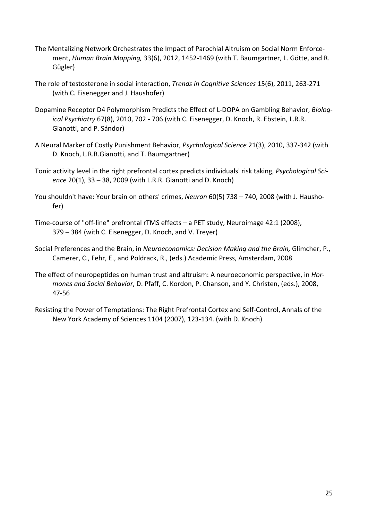- The Mentalizing Network Orchestrates the Impact of Parochial Altruism on Social Norm Enforcement, *Human Brain Mapping,* 33(6), 2012, 1452-1469 (with T. Baumgartner, L. Götte, and R. Gügler)
- The role of testosterone in social interaction, *Trends in Cognitive Sciences* 15(6), 2011, 263-271 (with C. Eisenegger and J. Haushofer)
- Dopamine Receptor D4 Polymorphism Predicts the Effect of L-DOPA on Gambling Behavior, *Biological Psychiatry* 67(8), 2010, 702 - 706 (with C. Eisenegger, D. Knoch, R. Ebstein, L.R.R. Gianotti, and P. Sándor)
- A Neural Marker of Costly Punishment Behavior, *Psychological Science* 21(3), 2010, 337-342 (with D. Knoch, L.R.R.Gianotti, and T. Baumgartner)
- Tonic activity level in the right prefrontal cortex predicts individuals' risk taking, *Psychological Science* 20(1), 33 – 38, 2009 (with L.R.R. Gianotti and D. Knoch)
- You shouldn't have: Your brain on others' crimes, *Neuron* 60(5) 738 740, 2008 (with J. Haushofer)
- Time-course of "off-line" prefrontal rTMS effects a PET study, Neuroimage 42:1 (2008), 379 – 384 (with C. Eisenegger, D. Knoch, and V. Treyer)
- Social Preferences and the Brain, in *Neuroeconomics: Decision Making and the Brain,* Glimcher, P., Camerer, C., Fehr, E., and Poldrack, R., (eds.) Academic Press, Amsterdam, 2008
- The effect of neuropeptides on human trust and altruism: A neuroeconomic perspective, in *Hormones and Social Behavior*, D. Pfaff, C. Kordon, P. Chanson, and Y. Christen, (eds.), 2008, 47-56
- Resisting the Power of Temptations: The Right Prefrontal Cortex and Self-Control, Annals of the New York Academy of Sciences 1104 (2007), 123-134. (with D. Knoch)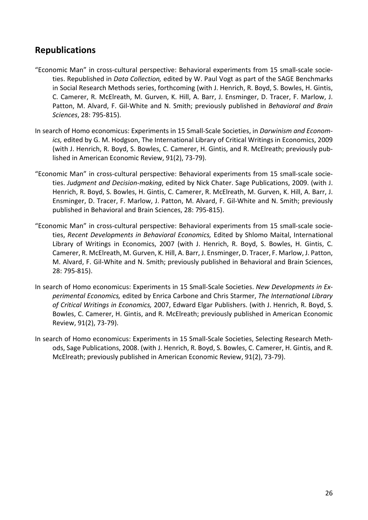# <span id="page-25-0"></span>**Republications**

- "Economic Man" in cross-cultural perspective: Behavioral experiments from 15 small-scale societies. Republished in *Data Collection,* edited by W. Paul Vogt as part of the SAGE Benchmarks in Social Research Methods series, forthcoming (with J. Henrich, R. Boyd, S. Bowles, H. Gintis, C. Camerer, R. McElreath, M. Gurven, K. Hill, A. Barr, J. Ensminger, D. Tracer, F. Marlow, J. Patton, M. Alvard, F. Gil-White and N. Smith; previously published in *Behavioral and Brain Sciences*, 28: 795-815).
- In search of Homo economicus: Experiments in 15 Small-Scale Societies, in *Darwinism and Economics,* edited by G. M. Hodgson, The International Library of Critical Writings in Economics, 2009 (with J. Henrich, R. Boyd, S. Bowles, C. Camerer, H. Gintis, and R. McElreath; previously published in American Economic Review, 91(2), 73-79).
- "Economic Man" in cross-cultural perspective: Behavioral experiments from 15 small-scale societies. *Judgment and Decision-making*, edited by Nick Chater. Sage Publications, 2009. (with J. Henrich, R. Boyd, S. Bowles, H. Gintis, C. Camerer, R. McElreath, M. Gurven, K. Hill, A. Barr, J. Ensminger, D. Tracer, F. Marlow, J. Patton, M. Alvard, F. Gil-White and N. Smith; previously published in Behavioral and Brain Sciences, 28: 795-815).
- "Economic Man" in cross-cultural perspective: Behavioral experiments from 15 small-scale societies, *Recent Developments in Behavioral Economics,* Edited by Shlomo Maital, International Library of Writings in Economics, 2007 (with J. Henrich, R. Boyd, S. Bowles, H. Gintis, C. Camerer, R. McElreath, M. Gurven, K. Hill, A. Barr, J. Ensminger, D. Tracer, F. Marlow, J. Patton, M. Alvard, F. Gil-White and N. Smith; previously published in Behavioral and Brain Sciences, 28: 795-815).
- In search of Homo economicus: Experiments in 15 Small-Scale Societies. *New Developments in Experimental Economics,* edited by Enrica Carbone and Chris Starmer, *The International Library of Critical Writings in Economics,* 2007, Edward Elgar Publishers. (with J. Henrich, R. Boyd, S. Bowles, C. Camerer, H. Gintis, and R. McElreath; previously published in American Economic Review, 91(2), 73-79).
- In search of Homo economicus: Experiments in 15 Small-Scale Societies, Selecting Research Methods, Sage Publications, 2008. (with J. Henrich, R. Boyd, S. Bowles, C. Camerer, H. Gintis, and R. McElreath; previously published in American Economic Review, 91(2), 73-79).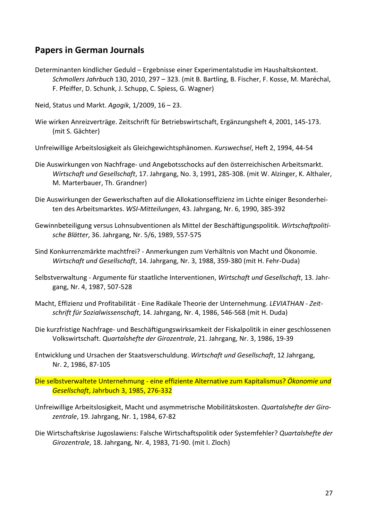# <span id="page-26-0"></span>**Papers in German Journals**

- Determinanten kindlicher Geduld Ergebnisse einer Experimentalstudie im Haushaltskontext. *Schmollers Jahrbuch* 130, 2010, 297 – 323. (mit B. Bartling, B. Fischer, F. Kosse, M. Maréchal, F. Pfeiffer, D. Schunk, J. Schupp, C. Spiess, G. Wagner)
- Neid, Status und Markt. *Agogik*, 1/2009, 16 23.
- Wie wirken Anreizverträge. Zeitschrift für Betriebswirtschaft, Ergänzungsheft 4, 2001, 145-173. (mit S. Gächter)
- Unfreiwillige Arbeitslosigkeit als Gleichgewichtsphänomen. *Kurswechsel*, Heft 2, 1994, 44-54
- Die Auswirkungen von Nachfrage- und Angebotsschocks auf den österreichischen Arbeitsmarkt. *Wirtschaft und Gesellschaft*, 17. Jahrgang, No. 3, 1991, 285-308. (mit W. Alzinger, K. Althaler, M. Marterbauer, Th. Grandner)
- Die Auswirkungen der Gewerkschaften auf die Allokationseffizienz im Lichte einiger Besonderheiten des Arbeitsmarktes. *WSI-Mitteilungen*, 43. Jahrgang, Nr. 6, 1990, 385-392
- Gewinnbeteiligung versus Lohnsubventionen als Mittel der Beschäftigungspolitik. *Wirtschaftpolitische Blätter*, 36. Jahrgang, Nr. 5/6, 1989, 557-575
- Sind Konkurrenzmärkte machtfrei? Anmerkungen zum Verhältnis von Macht und Ökonomie. *Wirtschaft und Gesellschaft*, 14. Jahrgang, Nr. 3, 1988, 359-380 (mit H. Fehr-Duda)
- Selbstverwaltung Argumente für staatliche Interventionen, *Wirtschaft und Gesellschaft*, 13. Jahrgang, Nr. 4, 1987, 507-528
- Macht, Effizienz und Profitabilität Eine Radikale Theorie der Unternehmung. *LEVIATHAN - Zeitschrift für Sozialwissenschaft*, 14. Jahrgang, Nr. 4, 1986, 546-568 (mit H. Duda)
- Die kurzfristige Nachfrage- und Beschäftigungswirksamkeit der Fiskalpolitik in einer geschlossenen Volkswirtschaft. *Quartalshefte der Girozentrale*, 21. Jahrgang, Nr. 3, 1986, 19-39
- Entwicklung und Ursachen der Staatsverschuldung. *Wirtschaft und Gesellschaft*, 12 Jahrgang, Nr. 2, 1986, 87-105
- Die selbstverwaltete Unternehmung eine effiziente Alternative zum Kapitalismus? *Ökonomie und Gesellschaft*, Jahrbuch 3, 1985, 276-332
- Unfreiwillige Arbeitslosigkeit, Macht und asymmetrische Mobilitätskosten. *Quartalshefte der Girozentrale*, 19. Jahrgang, Nr. 1, 1984, 67-82
- Die Wirtschaftskrise Jugoslawiens: Falsche Wirtschaftspolitik oder Systemfehler? *Quartalshefte der Girozentrale*, 18. Jahrgang, Nr. 4, 1983, 71-90. (mit I. Zloch)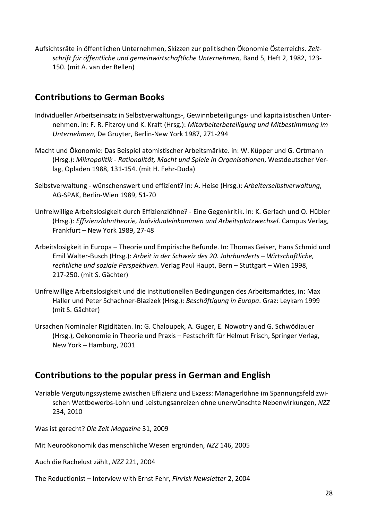Aufsichtsräte in öffentlichen Unternehmen, Skizzen zur politischen Ökonomie Österreichs. *Zeitschrift für öffentliche und gemeinwirtschaftliche Unternehmen,* Band 5, Heft 2, 1982, 123- 150. (mit A. van der Bellen)

# **Contributions to German Books**

- Individueller Arbeitseinsatz in Selbstverwaltungs-, Gewinnbeteiligungs- und kapitalistischen Unternehmen. in: F. R. Fitzroy und K. Kraft (Hrsg.): *Mitarbeiterbeteiligung und Mitbestimmung im Unternehmen*, De Gruyter, Berlin-New York 1987, 271-294
- Macht und Ökonomie: Das Beispiel atomistischer Arbeitsmärkte. in: W. Küpper und G. Ortmann (Hrsg.): *Mikropolitik - Rationalität, Macht und Spiele in Organisationen*, Westdeutscher Verlag, Opladen 1988, 131-154. (mit H. Fehr-Duda)
- Selbstverwaltung wünschenswert und effizient? in: A. Heise (Hrsg.): *Arbeiterselbstverwaltung*, AG-SPAK, Berlin-Wien 1989, 51-70
- Unfreiwillige Arbeitslosigkeit durch Effizienzlöhne? Eine Gegenkritik. in: K. Gerlach und O. Hübler (Hrsg.): *Effizienzlohntheorie, Individualeinkommen und Arbeitsplatzwechsel*. Campus Verlag, Frankfurt – New York 1989, 27-48
- Arbeitslosigkeit in Europa Theorie und Empirische Befunde. In: Thomas Geiser, Hans Schmid und Emil Walter-Busch (Hrsg.): *Arbeit in der Schweiz des 20. Jahrhunderts – Wirtschaftliche, rechtliche und soziale Perspektiven*. Verlag Paul Haupt, Bern – Stuttgart – Wien 1998, 217-250. (mit S. Gächter)
- Unfreiwillige Arbeitslosigkeit und die institutionellen Bedingungen des Arbeitsmarktes, in: Max Haller und Peter Schachner-Blazizek (Hrsg.): *Beschäftigung in Europa*. Graz: Leykam 1999 (mit S. Gächter)
- Ursachen Nominaler Rigiditäten. In: G. Chaloupek, A. Guger, E. Nowotny and G. Schwödiauer (Hrsg.), Oekonomie in Theorie und Praxis – Festschrift für Helmut Frisch, Springer Verlag, New York – Hamburg, 2001

# **Contributions to the popular press in German and English**

Variable Vergütungssysteme zwischen Effizienz und Exzess: Managerlöhne im Spannungsfeld zwischen Wettbewerbs-Lohn und Leistungsanreizen ohne unerwünschte Nebenwirkungen, *NZZ* 234, 2010

Was ist gerecht? *Die Zeit Magazine* 31, 2009

Mit Neuroökonomik das menschliche Wesen ergründen, *NZZ* 146, 2005

Auch die Rachelust zählt, *NZZ* 221, 2004

The Reductionist – Interview with Ernst Fehr, *Finrisk Newsletter* 2, 2004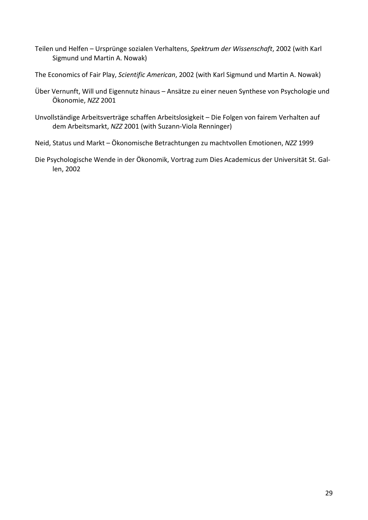- Teilen und Helfen Ursprünge sozialen Verhaltens, *Spektrum der Wissenschaft*, 2002 (with Karl Sigmund und Martin A. Nowak)
- The Economics of Fair Play, *Scientific American*, 2002 (with Karl Sigmund und Martin A. Nowak)
- Über Vernunft, Will und Eigennutz hinaus Ansätze zu einer neuen Synthese von Psychologie und Ökonomie, *NZZ* 2001
- Unvollständige Arbeitsverträge schaffen Arbeitslosigkeit Die Folgen von fairem Verhalten auf dem Arbeitsmarkt, *NZZ* 2001 (with Suzann-Viola Renninger)
- Neid, Status und Markt Ökonomische Betrachtungen zu machtvollen Emotionen, *NZZ* 1999
- Die Psychologische Wende in der Ökonomik, Vortrag zum Dies Academicus der Universität St. Gallen, 2002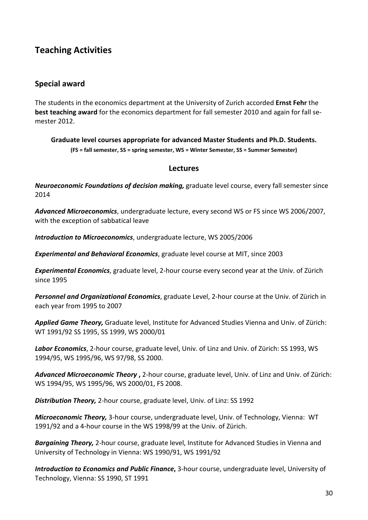# <span id="page-29-0"></span>**Teaching Activities**

#### **Special award**

The students in the economics department at the University of Zurich accorded **Ernst Fehr** the **best teaching award** for the economics department for fall semester 2010 and again for fall semester 2012.

**Graduate level courses appropriate for advanced Master Students and Ph.D. Students. (FS = fall semester, SS = spring semester, WS = Winter Semester, SS = Summer Semester)**

#### **Lectures**

*Neuroeconomic Foundations of decision making,* graduate level course, every fall semester since 2014

*Advanced Microeconomics*, undergraduate lecture, every second WS or FS since WS 2006/2007, with the exception of sabbatical leave

*Introduction to Microeconomics*, undergraduate lecture, WS 2005/2006

*Experimental and Behavioral Economics*, graduate level course at MIT, since 2003

*Experimental Economics*, graduate level, 2-hour course every second year at the Univ. of Zürich since 1995

*Personnel and Organizational Economics*, graduate Level, 2-hour course at the Univ. of Zürich in each year from 1995 to 2007

*Applied Game Theory,* Graduate level, Institute for Advanced Studies Vienna and Univ. of Zürich: WT 1991/92 SS 1995, SS 1999, WS 2000/01

*Labor Economics*, 2-hour course, graduate level, Univ. of Linz and Univ. of Zürich: SS 1993, WS 1994/95, WS 1995/96, WS 97/98, SS 2000.

*Advanced Microeconomic Theory* **,** 2-hour course, graduate level, Univ. of Linz and Univ. of Zürich: WS 1994/95, WS 1995/96, WS 2000/01, FS 2008.

*Distribution Theory,* 2-hour course, graduate level, Univ. of Linz: SS 1992

*Microeconomic Theory,* 3-hour course, undergraduate level, Univ. of Technology, Vienna: WT 1991/92 and a 4-hour course in the WS 1998/99 at the Univ. of Zürich.

*Bargaining Theory,* 2-hour course, graduate level, Institute for Advanced Studies in Vienna and University of Technology in Vienna: WS 1990/91, WS 1991/92

*Introduction to Economics and Public Finance***,** 3-hour course, undergraduate level, University of Technology, Vienna: SS 1990, ST 1991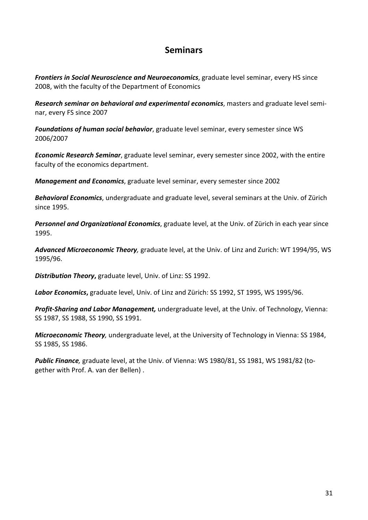# **Seminars**

*Frontiers in Social Neuroscience and Neuroeconomics*, graduate level seminar, every HS since 2008, with the faculty of the Department of Economics

*Research seminar on behavioral and experimental economics*, masters and graduate level seminar, every FS since 2007

*Foundations of human social behavior*, graduate level seminar, every semester since WS 2006/2007

*Economic Research Seminar*, graduate level seminar, every semester since 2002, with the entire faculty of the economics department.

*Management and Economics*, graduate level seminar, every semester since 2002

*Behavioral Economics*, undergraduate and graduate level, several seminars at the Univ. of Zürich since 1995.

*Personnel and Organizational Economics*, graduate level, at the Univ. of Zürich in each year since 1995.

*Advanced Microeconomic Theory,* graduate level, at the Univ. of Linz and Zurich: WT 1994/95, WS 1995/96.

*Distribution Theory***,** graduate level, Univ. of Linz: SS 1992.

*Labor Economics***,** graduate level, Univ. of Linz and Zürich: SS 1992, ST 1995, WS 1995/96.

*Profit-Sharing and Labor Management,* undergraduate level, at the Univ. of Technology, Vienna: SS 1987, SS 1988, SS 1990, SS 1991.

*Microeconomic Theory,* undergraduate level, at the University of Technology in Vienna: SS 1984, SS 1985, SS 1986.

*Public Finance,* graduate level, at the Univ. of Vienna: WS 1980/81, SS 1981, WS 1981/82 (together with Prof. A. van der Bellen) .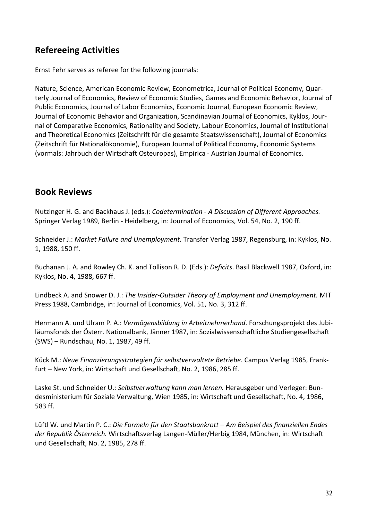# <span id="page-31-0"></span>**Refereeing Activities**

Ernst Fehr serves as referee for the following journals:

Nature, Science, American Economic Review, Econometrica, Journal of Political Economy, Quarterly Journal of Economics, Review of Economic Studies, Games and Economic Behavior, Journal of Public Economics, Journal of Labor Economics, Economic Journal, European Economic Review, Journal of Economic Behavior and Organization, Scandinavian Journal of Economics, Kyklos, Journal of Comparative Economics, Rationality and Society, Labour Economics, Journal of Institutional and Theoretical Economics (Zeitschrift für die gesamte Staatswissenschaft), Journal of Economics (Zeitschrift für Nationalökonomie), European Journal of Political Economy, Economic Systems (vormals: Jahrbuch der Wirtschaft Osteuropas), Empirica - Austrian Journal of Economics.

### <span id="page-31-1"></span>**Book Reviews**

Nutzinger H. G. and Backhaus J. (eds.): *Codetermination - A Discussion of Different Approaches.* Springer Verlag 1989, Berlin - Heidelberg, in: Journal of Economics, Vol. 54, No. 2, 190 ff.

Schneider J.: *Market Failure and Unemployment.* Transfer Verlag 1987, Regensburg, in: Kyklos, No. 1, 1988, 150 ff.

Buchanan J. A. and Rowley Ch. K. and Tollison R. D. (Eds.): *Deficits*. Basil Blackwell 1987, Oxford, in: Kyklos, No. 4, 1988, 667 ff.

Lindbeck A. and Snower D. J.: *The Insider-Outsider Theory of Employment and Unemployment.* MIT Press 1988, Cambridge, in: Journal of Economics, Vol. 51, No. 3, 312 ff.

Hermann A. und Ulram P. A.: *Vermögensbildung in Arbeitnehmerhand*. Forschungsprojekt des Jubiläumsfonds der Österr. Nationalbank, Jänner 1987, in: Sozialwissenschaftliche Studiengesellschaft (SWS) – Rundschau, No. 1, 1987, 49 ff.

Kück M.: *Neue Finanzierungsstrategien für selbstverwaltete Betriebe*. Campus Verlag 1985, Frankfurt – New York, in: Wirtschaft und Gesellschaft, No. 2, 1986, 285 ff.

Laske St. und Schneider U.: *Selbstverwaltung kann man lernen.* Herausgeber und Verleger: Bundesministerium für Soziale Verwaltung, Wien 1985, in: Wirtschaft und Gesellschaft, No. 4, 1986, 583 ff.

Lüftl W. und Martin P. C.: *Die Formeln für den Staatsbankrott – Am Beispiel des finanziellen Endes der Republik Österreich.* Wirtschaftsverlag Langen-Müller/Herbig 1984, München, in: Wirtschaft und Gesellschaft, No. 2, 1985, 278 ff.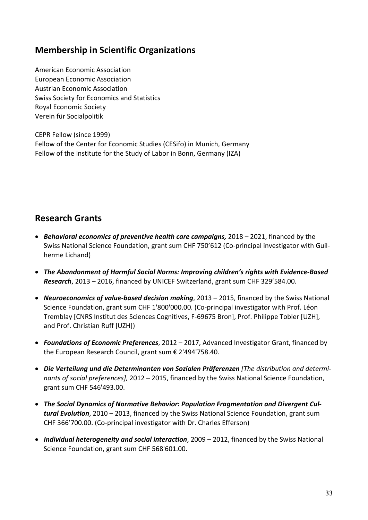# <span id="page-32-0"></span>**Membership in Scientific Organizations**

American Economic Association European Economic Association Austrian Economic Association Swiss Society for Economics and Statistics Royal Economic Society Verein für Socialpolitik

CEPR Fellow (since 1999) Fellow of the Center for Economic Studies (CESifo) in Munich, Germany Fellow of the Institute for the Study of Labor in Bonn, Germany (IZA)

# <span id="page-32-1"></span>**Research Grants**

- *Behavioral economics of preventive health care campaigns,* 2018 2021, financed by the Swiss National Science Foundation, grant sum CHF 750'612 (Co-principal investigator with Guilherme Lichand)
- *The Abandonment of Harmful Social Norms: Improving children's rights with Evidence-Based Research*, 2013 – 2016, financed by UNICEF Switzerland, grant sum CHF 329'584.00.
- *Neuroeconomics of value-based decision making*, 2013 2015, financed by the Swiss National Science Foundation, grant sum CHF 1'800'000.00. (Co-principal investigator with Prof. Léon Tremblay [CNRS Institut des Sciences Cognitives, F-69675 Bron], Prof. Philippe Tobler [UZH], and Prof. Christian Ruff [UZH])
- *Foundations of Economic Preferences*, 2012 2017, Advanced Investigator Grant, financed by the European Research Council, grant sum € 2'494'758.40.
- *Die Verteilung und die Determinanten von Sozialen Präferenzen [The distribution and determinants of social preferences],* 2012 – 2015, financed by the Swiss National Science Foundation, grant sum CHF 546'493.00.
- *The Social Dynamics of Normative Behavior: Population Fragmentation and Divergent Cultural Evolution*, 2010 – 2013, financed by the Swiss National Science Foundation, grant sum CHF 366'700.00. (Co-principal investigator with Dr. Charles Efferson)
- *Individual heterogeneity and social interaction*, 2009 2012, financed by the Swiss National Science Foundation, grant sum CHF 568'601.00.